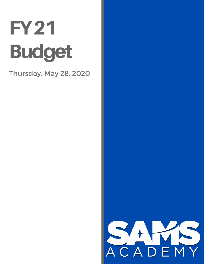## **FY21 Budget**

Thursday, May 28, 2020

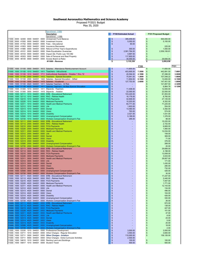## **Southwest Aeronautics Mathematics and Science Academy**

Proposed FY2021 Budget May 20, 2020

|            |      |                           |      |                              |           | Operational - 11000                                 |                         |                              |             |                             |             |
|------------|------|---------------------------|------|------------------------------|-----------|-----------------------------------------------------|-------------------------|------------------------------|-------------|-----------------------------|-------------|
|            |      |                           |      |                              |           | <b>Description</b>                                  |                         | <b>FY20 Estimated Actual</b> |             | <b>FY21 Proposed Budget</b> |             |
|            |      |                           |      |                              |           | 00011 - lanoitarag0                                 |                         |                              |             |                             |             |
|            |      |                           |      | 11000 0000 32300 0000 544001 | 0000      | Unreserved Fund Balance                             | \$                      | 395,459.00                   |             | \$<br>500,000.00            |             |
| 11000      |      | 0000 41500                | 0000 | 544001                       | 0000      | Investment Income                                   | $\sqrt{2}$              | 5.050.00                     |             | \$<br>5,100.00              |             |
| 11000      | 0000 | 41702 0000                |      | 544001                       | 0000      | Fees - Educational                                  | $\mathfrak{s}$          | 60.00                        |             | \$                          |             |
| 11000      | 0000 | 41953                     | 0000 | 544001                       | 0000      | <b>Insurance Recoveries</b>                         |                         |                              |             | 225.00<br>S                 |             |
| 11000      | 0000 | 41980                     | 0000 | 544001                       | 0000      | Refund of Prior Year's Expenditures                 | $\frac{1}{2}$           | 300.00                       |             | S<br>1,000.00               |             |
| 11000      |      | 0000 43101                | 0000 | 544001                       | 0000      | <b>State Equalization Guarantee</b>                 | $\sqrt{2}$              | 2,581,764.00                 |             | S<br>2,559,106.81           |             |
| 11000      | 0000 | 44103 0000                |      | 544001                       | 0000      | Impact Aid, Public Law 103-382                      | $\sqrt[6]{3}$           | 4,897.00                     |             | S                           |             |
| 11000      | 0000 | 45303                     | 0000 | 544001                       | 0000      | Sale of Personal and Real Property                  | $$\mathbb{S}$$          | 117,800.00                   |             | S                           |             |
| 11000 0000 |      | 46100                     |      | 0000 544001                  | 0000      | Access Board (e-Rate)                               | $\sqrt[6]{3}$           | 30,000.00                    |             | \$<br>29,606.00             |             |
|            |      |                           |      |                              |           | #11000 - Revenue                                    | \$                      | 3,135,330                    |             | \$<br>3,095,038             |             |
|            |      |                           |      |                              |           |                                                     |                         |                              |             |                             |             |
|            |      |                           |      |                              |           |                                                     |                         |                              | <b>FY20</b> |                             | <b>FY21</b> |
| 11000      |      |                           |      | 1000 51100 0000 544001       |           | 1613 Salaries - Attendance Reimbursement Account    | $\sqrt[6]{3}$           | 11,600.00                    |             | 11,600.00<br>S              |             |
| 11000      |      | 1000 51100                |      | 1010 544001                  |           | 1411 Teachers - Intructional                        | $\mathfrak{s}$          | 403,905.00                   | 7.3500      | S<br>442,891.50             | 7.6801      |
|            |      |                           |      |                              |           |                                                     |                         |                              |             |                             |             |
| 11000      | 1000 | 51100                     | 1010 | 544001                       | 1711      | Instructional Assistants - Grades 1 thru 12         | $$\mathbb{S}$$          | 45,594.00                    | 2.1998      | 57,288.00<br>\$             | 3.0000      |
| 11000      | 1000 | 51100                     | 2000 | 544001                       | 1412      | <b>Teachers - Special Education</b>                 | $\frac{2}{3}$           | 75,941.00                    | 1.2809      | 107,548.22<br>S             | 1.8800      |
|            |      | 11000 1000 51100          | 2000 | 544001                       | 1422      | Salaries - Special Education - Gifted               | $\frac{1}{2}$           | 11,854.00                    | 0.1500      | S<br>13,000.00              | 0.1500      |
| 11000      |      | 1000 51100                | 3000 | 544001                       | 1415      | Salaries - Vocational                               | $\frac{1}{2}$           | 127,753.00                   | 2.6000      | \$<br>147,401.00            | 1.8000      |
| 11000      |      | 1000 51100                | 4020 | 544001                       |           | 1411 Salaries Teachers - At Risk                    | $\mathfrak{s}$          |                              |             | S<br>121,857.50             | 2.3200      |
| 11000      | 1000 | 51100                     | 4025 | 544001                       | 1411      | Salaries Teachers - At Risk Special Education       | $\frac{1}{2}$           | ×.                           |             | 6,864.78<br>\$              | 0.1200      |
| 11000      | 1000 | 51300                     | 1010 | 544001                       | 1411      | Stipends -Teachers                                  | $\frac{1}{2}$           | 11,406.00                    |             | \$<br>12,000.00             |             |
| 11000      |      |                           |      | 1000 51300 3000 544001       |           | 1415 Stipends - Aviation                            | $\frac{1}{2}$           | 22,000.00                    |             | 22,000.00<br>\$             |             |
| 11000      |      | 1000 52111 1010           |      | 544001                       | 0000      | <b>ERB - Educational Retirement</b>                 | $\mathfrak{s}$          | 103,220.00                   |             | 61,953.00<br>S              |             |
| 11000      | 1000 | 52112                     | 1010 | 544001                       | 0000      | RHC - Retiree Health                                | $\frac{1}{2}$           | 16.176.00                    |             | $\mathfrak{s}$<br>8,760.00  |             |
| 11000      | 1000 | 52210                     | 1010 | 544001                       | 0000      | <b>FICA Payments</b>                                | $\sqrt[6]{\frac{1}{2}}$ | 42.846.00                    |             | S<br>27.145.00              |             |
| 11000      | 1000 | 52220                     | 1010 | 544001                       | 0000      | <b>Medicare Payments</b>                            | $\sqrt[6]{\frac{1}{2}}$ | 10,203.00                    |             | S<br>6.352.00               |             |
| 11000      | 1000 | 52311 1010                |      | 544001                       | 0000      | <b>Health and Medical Premiums</b>                  | $\sqrt[6]{3}$           | 60.771.00                    |             | S<br>71,225.00              |             |
| 11000      | 1000 | 52312                     | 1010 | 544001                       | 0000      | Life                                                | $\sqrt[6]{\frac{1}{2}}$ | 1,603.00                     |             | S<br>554.00                 |             |
| 11000      | 1000 | 52313                     | 1010 | 544001                       |           | 0000 Dental                                         | $\sqrt[6]{\frac{1}{2}}$ | 13,480.00                    |             | \$<br>3,392.00              |             |
| 11000      | 1000 | 52314 1010                |      | 544001                       | 0000      | Vision                                              | $\sqrt[6]{\frac{1}{2}}$ | 763.00                       |             | S<br>574.00                 |             |
| 11000      | 1000 |                           |      | 52315 1010 544001            | 0000      | Disability                                          | $\sqrt[6]{3}$           | 2.021.00                     |             | S<br>1,531.00               |             |
| 11000      | 1000 | 52500                     | 1010 | 544001                       | 0000      | <b>Unemployment Compensation</b>                    | $\sqrt{2}$              | 5,189.00                     |             | 1,376.00<br>S               |             |
| 11000      | 1000 | 52720                     | 1010 | 544001                       | 0000      | Workers Compensation Employer's Fee                 | $\sqrt[6]{3}$           | 295.00                       |             | \$<br>98.00                 |             |
| 11000      | 1000 | 52111                     | 2000 | 544001                       | 0000      | <b>ERB - Educational Retirement</b>                 | $\sqrt[6]{3}$           |                              |             | 15,220.00<br>S              |             |
| 11000      |      | 1000 52112 2000           |      | 544001                       |           | 0000 RHC - Retiree Health                           | $\sqrt[6]{3}$           | ٠                            |             | \$<br>2,152.00              |             |
| 11000      | 1000 | 52210                     | 2000 | 544001                       | 0000      | <b>FICA Payments</b>                                | $\sqrt[6]{\frac{1}{2}}$ | ٠                            |             | 6,669.00<br>S               |             |
| 11000      | 1000 | 52220                     | 2000 | 544001                       | 0000      | <b>Medicare Payments</b>                            | $\sqrt[6]{\frac{1}{2}}$ | ٠                            |             | \$<br>1,560.00              |             |
|            |      |                           |      | 544001                       | 0000      | <b>Health and Medical Premiums</b>                  |                         |                              |             | S                           |             |
| 11000      | 1000 | 52311 2000                |      |                              |           |                                                     | \$                      |                              |             | 12,034.00                   |             |
| 11000      |      | 1000 52312 2000           |      | 544001                       | 0000 Life |                                                     | $\frac{1}{2}$           | ٠                            |             | \$<br>108.00                |             |
| 11000      | 1000 | 52313 2000                |      | 544001                       |           | 0000 Dental                                         | \$                      |                              |             | \$<br>369.00                |             |
| 11000      | 1000 | 52314 2000                |      | 544001                       |           | 0000 Vision                                         | \$                      |                              |             | \$<br>71.00                 |             |
| 11000      | 1000 | 52315 2000                |      | 544001                       | 0000      | <b>Disability</b>                                   | \$                      |                              |             | \$<br>376.00                |             |
| 11000      | 1000 | 52500 2000                |      | 544001                       | 0000      | <b>Unemployment Compensation</b>                    | $\frac{1}{2}$           |                              |             | \$<br>268.00                |             |
| 11000      | 1000 | 52720                     | 2000 | 544001                       | 0000      | <b>Workers Compensation Employer's Fee</b>          | $\mathfrak{s}$          |                              |             | 20.00<br>S                  |             |
| 11000      | 1000 | 52111                     | 3000 | 544001                       | 0000      | <b>ERB</b> - Educational Retirement                 | $\frac{1}{2}$           |                              |             | $\mathfrak{s}$<br>29,689.00 |             |
| 11000      | 1000 | 52112                     | 3000 | 544001                       | 0000      | RHC - Retiree Health                                | $\sqrt[6]{3}$           |                              |             | \$<br>4,198.00              |             |
| 11000      |      | 1000 52210                |      | 3000 544001                  | 0000      | <b>FICA Payments</b>                                | $\frac{1}{2}$           |                              |             | $\mathfrak{s}$<br>13,008.00 |             |
| 11000      | 1000 | 52220                     | 3000 | 544001                       | 0000      | <b>Medicare Payments</b>                            | $\mathfrak{s}$          |                              |             | 3,043.00<br>S               |             |
| 11000      | 1000 | 52311                     | 3000 | 544001                       | 0000      | <b>Health and Medical Premiums</b>                  | $\mathfrak{s}$          |                              |             | $\mathfrak{s}$<br>28,857.00 |             |
| 11000      | 1000 | 52312                     | 3000 | 544001                       | 0000 Life |                                                     | $\sqrt[6]{3}$           |                              |             | \$<br>171.00                |             |
| 11000      | 1000 | 52313                     | 3000 | 544001                       | 0000      | Dental                                              | $\sqrt[6]{\frac{1}{2}}$ |                              |             | S<br>1.430.00               |             |
| 11000      | 1000 | 52314                     | 3000 | 544001                       | 0000      | Vision                                              | $\sqrt[6]{3}$           |                              |             | S<br>280.00                 |             |
| 11000      | 1000 | 52315                     | 3000 | 544001                       | 0000      | Disability                                          | $\sqrt[6]{3}$           |                              |             | S<br>732.00                 |             |
| 11000      | 1000 | 52500                     | 3000 | 544001                       | 0000      | <b>Unemployment Compensation</b>                    | $\sqrt[6]{3}$           |                              |             | S<br>426.00                 |             |
| 11000      | 1000 | 52720                     | 3000 | 544001                       | 0000      | <b>Workers Compensation Employer's Fee</b>          | $\sqrt[6]{\frac{1}{2}}$ |                              |             | S<br>30.00                  |             |
| 11000      |      | 1000 52111                | 4020 | 544001                       | 0000      | <b>ERB</b> - Educational Retirement                 | $\frac{1}{2}$           | ×.                           |             | S<br>17,247.00              |             |
| 11000      | 1000 | 52112                     |      | 4020 544001                  | 0000      | RHC - Retiree Health                                | $\frac{1}{2}$           |                              |             | 2,440.00<br>S               |             |
| 11000      |      | $ 1000 \t 52210 \t 4020 $ |      |                              |           | 544001 0000 FICA Payments                           | S                       |                              |             | 7,557.00                    |             |
|            |      |                           |      |                              |           | 11000 1000 52220 4020 544001 0000 Medicare Payments | \$                      |                              |             | 1,771.00<br>S               |             |
| 11000      |      |                           |      | 1000 52311 4020 544001       |           | 0000 Health and Medical Premiums                    | \$                      |                              |             | 12,143.00<br>S              |             |
| 11000      |      |                           |      | 1000 52312 4020 544001       | 0000 Life |                                                     | \$                      |                              |             | 134.00<br>S                 |             |
| 11000      |      |                           |      | 1000 52313 4020 544001       |           | 0000 Dental                                         | \$                      | ٠                            |             | 496.00<br>S                 |             |
| 11000      |      |                           |      | 1000 52314 4020 544001       |           | 0000 Vision                                         | \$                      |                              |             | 104.00<br>S                 |             |
| 11000      |      |                           |      | 1000 52315 4020 544001       |           | 0000 Disability                                     | \$                      | ٠                            |             | \$<br>426.00                |             |
| 11000      |      |                           |      | 1000 52500 4020 544001       |           | 0000 Unemployment Compensation                      | \$                      |                              |             | 330.00<br>\$                |             |
| 11000      |      | 1000 52720 4020           |      | 544001                       | 0000      | Workers Compensation Employer's Fee                 | \$                      | ٠                            |             | \$<br>26.00                 |             |
| 11000      | 1000 | 52111 4025                |      | 544001                       | 0000      | <b>ERB - Educational Retirement</b>                 | \$                      |                              |             | 972.00<br>\$                |             |
| 11000      |      | 1000 52112 4025           |      | 544001                       |           | 0000 RHC - Retiree Health                           | \$                      | ٠                            |             | \$<br>138.00                |             |
| 11000      |      | 1000 52210 4025           |      | 544001                       |           | 0000 FICA Payments                                  | \$                      |                              |             | 427.00<br>S                 |             |
| 11000      |      | 1000 52220                |      | 4025 544001                  | 0000      | <b>Medicare Payments</b>                            | \$                      |                              |             | 101.00<br>S                 |             |
|            |      |                           |      |                              |           |                                                     |                         |                              |             |                             |             |
| 11000      |      | 1000 52311 4025           |      | 544001                       | 0000      | <b>Health and Medical Premiums</b>                  | \$                      |                              |             | 47.00<br>S                  |             |
| 11000      |      | 1000 52312 4025           |      | 544001                       | 0000 Life |                                                     | \$                      |                              |             | 8.00<br>S                   |             |
| 11000      |      | 1000 52313 4025           |      | 544001                       |           | 0000 Dental                                         | \$                      |                              |             | 24.00<br>S                  |             |
| 11000      |      | 1000 52314 4025           |      | 544001                       | 0000      | <b>Vision</b>                                       | \$                      | ۰                            |             | 5.00<br>S                   |             |
| 11000      |      | 1000 52315 4025           |      | 544001                       |           | 0000 Disability                                     | $\frac{1}{2}$           |                              |             | S<br>25.00                  |             |
| 11000      |      | 1000 52500 4025           |      | 544001                       |           | 0000 Unemployment Compensation                      | $\sqrt[6]{\frac{1}{2}}$ |                              |             | S<br>18.00                  |             |
| 11000      |      |                           |      | 1000 52720 4025 544001       |           | 0000 Workers Compensation Employer's Fee            | $\sqrt[6]{\frac{1}{2}}$ |                              |             | 2.00<br>S                   |             |
| 11000      |      |                           |      | 1000 53330 1010 544001       |           | 0000 Professional Development                       | $\frac{1}{2}$           | 3,500.00                     |             | 3,500.00<br>S               |             |
| 11000      |      | 1000 53711 1010           |      | 544001                       | 0000      | Other Charges - Regular Education                   | $\sqrt[6]{\frac{1}{2}}$ | 3,593.00                     |             | 3,600.00<br>S               |             |
| 11000      |      |                           |      | 1000 53711 3000 544001       | 0000      | <b>Other Charges - Aviation</b>                     | $\frac{1}{2}$           | 110,000.00                   |             | S<br>136, 126.00            |             |
|            |      |                           |      | 11000 1000 53711 9000 544001 | 0000      | Other Charges - Extra-Curricular Activities         | $$\mathbb{S}$$          | 2,500.00                     |             |                             |             |
|            |      |                           |      | 11000 1000 54610 1010 544001 | 0000      | Renting Land and Buildings                          | \$                      | 100.00                       |             | \$<br>100.00                |             |
|            |      |                           |      | 11000 1000 55817 1010 544001 |           | 0000 Student Travel                                 | $\sqrt[6]{\frac{1}{2}}$ | 500.00                       |             | \$<br>500.00                |             |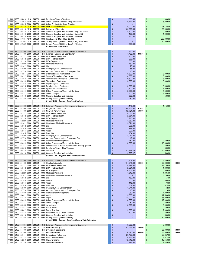| 11000<br>11000<br>11000 |      |                  |             |                              |           |                                                          |                         |              |        |               |            |        |
|-------------------------|------|------------------|-------------|------------------------------|-----------|----------------------------------------------------------|-------------------------|--------------|--------|---------------|------------|--------|
|                         | 1000 | 55819            | 1010        | 544001                       |           | 0000 Employee Travel - Teachers                          | S                       | 300.00       |        | \$            | 300.00     |        |
|                         | 1000 | 55915            | 1010        | 544001                       | 0000      | Other Contract Services - Reg. Education                 | \$                      | 5,177.00     |        | \$            | 5,200.00   |        |
|                         |      |                  |             | 1000 55915 9000 544001       |           | 0000 Other Contract Services- Athletics                  | \$                      |              |        |               |            |        |
| 11000                   | 1000 |                  |             | 56112 1010 544001            |           | 0000 Instructional Materials                             | \$                      | 5,000.00     |        | \$            | 26,762.00  |        |
| 11000                   | 1000 | 56113            |             | 1010 544001                  |           | 0000 Software - Edgenuity                                | \$                      | 100,000.00   |        | \$            | 85,000.00  |        |
|                         |      |                  |             |                              |           |                                                          |                         |              |        |               |            |        |
| 11000                   | 1000 | 56118            |             | 1010 544001                  | 0000      | General Supplies and Materials - Reg. Education          | \$                      | 8,500.00     |        | \$            | 500.00     |        |
| 11000                   |      |                  |             | 1000 56118 2000 544001       | 0000      | General Supplies and Materials - Spec. Ed                | \$                      | 100.00       |        | \$            | 1,000.00   |        |
| 11000                   | 1000 |                  |             | 56118 9000 544001            | 0000      | General Supplies and Materials - Athletics               | \$                      | 250.00       |        |               |            |        |
| 11000                   | 1000 | 57331            |             | 1010 544001                  |           | 0000 Fixed Assets (More Than \$5,000)                    | \$                      | ٠            |        | S             | 200,000.00 |        |
| 11000                   | 1000 | 57332            |             | 1010 544001                  | 0000      | Supply Assets (\$5,000 or Less) - Reg. Education         | \$                      |              |        | \$            | 15,000.00  |        |
| 11000                   |      |                  |             | 1000 57332 9000 544001       | 0000      | Supply Assets (\$5,000 or Less) - Athletics              | \$                      | 500.00       |        |               |            |        |
|                         |      |                  |             |                              |           |                                                          |                         |              |        |               |            |        |
|                         |      |                  |             |                              |           | #11000-1000 Instruction                                  |                         |              |        |               |            |        |
|                         |      |                  |             |                              |           |                                                          |                         |              |        |               |            |        |
|                         |      |                  |             | 11000 2100 51100 0000 544001 |           | 1613 Salaries - Attendance Reimbursement Account         | \$                      | 2,160.00     |        | \$            |            |        |
|                         |      |                  |             | 11000 2100 51100 2000 544001 |           | 1211 Salaries - Special Ed Coordinator                   | \$                      | 7,400.00     | 0.0951 | \$            |            |        |
| 11000 2100              |      | 52111            |             | 0000 544001                  | 0000      | <b>Educational Retirement</b>                            | \$                      | 1,100.00     |        | S             |            |        |
|                         |      |                  |             |                              |           |                                                          |                         |              |        |               |            |        |
|                         |      |                  |             | 11000 2100 52112 0000 544001 |           | 0000 ERA - Retiree Health                                | \$                      | 200.00       |        | \$            |            |        |
| 11000 2100              |      | 52210            |             | 0000 544001                  |           | 0000 FICA Payments                                       | \$                      | 500.00       |        | \$            |            |        |
|                         |      |                  |             | 11000 2100 52220 0000 544001 |           | 0000 Medicare Payments                                   | \$                      | 150.00       |        | S             |            |        |
| 11000 2100              |      |                  |             | 52312 0000 544001            | 0000 Life |                                                          | \$                      | 25.00        |        | S             |            |        |
| 11000 2100              |      | 52500            |             | 0000 544001                  | 0000      | Unemployment Compensation                                | \$                      | 55.00        |        | \$            |            |        |
| 11000 2100              |      | 52720            |             | 0000 544001                  | 0000      | Workers Compensation Employer's Fee                      | \$                      | 10.00        |        | \$            |            |        |
|                         |      |                  |             |                              |           |                                                          |                         |              |        |               |            |        |
|                         |      | 11000 2100 53211 |             | 2000 544001                  |           | 0000 Diagnosticians - Contracted                         | \$                      | 8,500.00     |        | S             | 6,000.00   |        |
| 11000 2100              |      |                  |             | 53212 2000 544001            | 0000      | Speech Therapists - Contracted                           | \$                      | 10,000.00    |        | S             | 6,000.00   |        |
| 11000 2100              |      | 53213            | 2000        | 544001                       | 0000      | Occupational Therapists - Contracted                     | \$                      | 9,500.00     |        | \$            | 3,000.00   |        |
|                         |      |                  |             | 11000 2100 53214 2000 544001 | 0000      | Therapists - Contracted                                  | \$                      | 5,000.00     |        | \$            | 6,000.00   |        |
|                         |      |                  |             | 11000 2100 53215 0000 544001 | 0000      | Psychologists - Contracted                               | \$                      |              |        | S             |            |        |
|                         |      |                  |             |                              |           |                                                          |                         |              |        |               |            |        |
|                         |      |                  |             | 11000 2100 53215 2000 544001 | 0000      | Psychologists - Contracted                               | \$                      | 10,000.00    |        | \$            | 3,000.00   |        |
|                         |      | 11000 2100 53218 |             | 2000 544001                  | 0000      | Specialists - Contracted                                 | \$                      | 1,600.00     |        | \$            | 3,000.00   |        |
|                         |      |                  |             | 11000 2100 53414 0000 544001 | 0000      | Other Professional/Technical Services                    | \$                      | 12,000.00    |        | S             | 4,500.00   |        |
|                         |      | 11000 2100 53711 |             | 0000 544001                  | 0000      | Other Charges                                            | \$                      | 500.00       |        | S             | 2,500.00   |        |
|                         |      | 11000 2100 56118 |             | 0000 544001                  | 0000      | General Supplies and Materials                           | \$                      | 500.00       |        | \$            | 500.00     |        |
|                         |      |                  |             | 11000 2100 57332 0000 544001 | 0000      | Supply Assets (\$5,000 or Less)                          | \$                      | 250.00       |        | \$            |            |        |
|                         |      |                  |             |                              |           |                                                          |                         |              |        |               |            |        |
|                         |      |                  |             |                              |           | #11000-2100 - Support Services-Students                  |                         |              |        |               |            |        |
|                         |      |                  |             |                              |           |                                                          |                         |              |        |               |            |        |
|                         |      | 11000 2200 51100 |             | 0000 544001                  |           | 1613 Salaries - Attendance Reimbursement Account         | \$                      | 1,145.00     |        | \$            | 1,150.00   |        |
| 11000                   | 2200 | 51100            |             | 0000 544001                  |           | 1211 Program & Data Coord                                | \$                      | 44,856.00    | 0.7457 | \$            |            |        |
| 11000 2200              |      | 51100            |             | 0000 544001                  |           | 1511 Network Administrator                               | \$                      | 82,791.00    | 1.0000 | \$            |            |        |
|                         |      |                  |             |                              |           | 0000 Educational Retirement                              |                         |              |        |               |            |        |
| 11000                   | 2200 | 52111            |             | 0000 544001                  |           |                                                          | \$                      | 18,063.00    |        | \$            |            |        |
|                         |      |                  |             | 11000 2200 52112 0000 544001 |           | 0000 ERA - Retiree Health                                | \$                      | 2,554.00     |        | \$            |            |        |
| 11000 2200              |      |                  |             | 52210 0000 544001            |           | 0000 FICA Payments                                       | \$                      | 7,916.00     |        | S             |            |        |
| 11000 2200              |      | 52220            |             | 0000 544001                  |           | 0000 Medicare Payments                                   | \$                      | 1,852.00     |        | \$            |            |        |
| 11000 2200              |      | 52311            |             | 0000 544001                  |           | 0000 Health and Medical Premiums                         | \$                      | 15,821.00    |        | S             |            |        |
|                         |      |                  |             | 11000 2200 52312 0000 544001 | 0000 Life |                                                          | \$                      | 205.00       |        | S             |            |        |
|                         |      |                  |             |                              |           |                                                          |                         |              |        |               |            |        |
| 11000 2200              |      |                  |             | 52313 0000 544001            |           | 0000 Dental                                              | \$                      | 1,242.00     |        | S             |            |        |
| 11000                   | 2200 | 52314            |             | 0000 544001                  |           | 0000 Vision                                              | \$                      | 297.00       |        | \$            |            |        |
| 11000                   | 2200 | 52315            |             | 0000 544001                  |           | 0000 Disability                                          | \$                      | 134.00       |        | \$            |            |        |
| 11000                   | 2200 | 52500            |             | 0000 544001                  |           | 0000 Unemployment Compensation                           | \$                      | 1,217.00     |        | S             |            |        |
| 11000 2200              |      | 52720            | 0000 544001 |                              |           | 0000 Workers Compensation Employer's Fee                 | \$                      | 19.00        |        | S             |            |        |
| 11000                   | 2200 |                  |             |                              |           |                                                          |                         |              |        |               |            |        |
|                         |      |                  |             |                              |           |                                                          |                         |              |        |               |            |        |
|                         |      | 53330            |             | 0000 544001                  |           | 0000 Professional Development                            | \$                      | 450.00       |        | \$            | 2,500.00   |        |
| 11000 2200              |      | 53414            |             | 0000 544001                  | 0000      | Other Professional/Technical Services                    | \$                      | 15,000.00    |        | S             | 15,000.00  |        |
| 11000 2200              |      | 54311            |             | 0000 544001                  | 0000      | Maintenance & Repair Furniture/Fixtures/Equipment        | \$                      | $\sim$       |        | S             | 300.00     |        |
| 11000 2200              |      |                  |             | 55813 0000 544001            | 0000      | Employee Travel - Non-Teachers                           | \$                      |              |        | S             | 500.00     |        |
| 11000 2200              |      | 56113            | 0000        | 544001                       | 0000      | Software                                                 | \$                      | 51,868.18    |        | \$            | 50,000.00  |        |
|                         |      |                  |             |                              |           |                                                          |                         |              |        |               |            |        |
|                         |      |                  |             | 11000 2200 56118 0000 544001 | 0000      | General Supplies and Materials                           | $\sqrt[6]{\frac{1}{2}}$ | 2,963.17     |        | $\mathsf{\$}$ | 500.00     |        |
|                         |      |                  |             |                              |           | #11000-2200 - Support Services-Instruction               |                         |              |        |               |            |        |
|                         |      |                  |             |                              |           |                                                          |                         |              |        |               |            |        |
|                         |      | 11000 2300 51100 | 0000        | 544001                       |           | 1613 Salaries - Attendance Reimbursement Account         | \$                      | 2,106.00     |        | S             | 2,200.00   |        |
|                         |      | 11000 2300 51100 |             | 0000 544001                  |           | 1111 Head Administrator                                  | \$                      | 101,045.00   | 1.0000 | \$            | 90,000.00  | 1.0000 |
|                         |      |                  |             |                              |           | 11000 2300 52111 0000 544001 0000 Educational Retirement | \$                      | 14,298.00    |        | \$            | 12.735.00  |        |
|                         |      |                  |             |                              |           |                                                          |                         |              |        |               |            |        |
|                         |      |                  |             | 11000 2300 52112 0000 544001 |           | 0000 ERA - Retiree Health                                | \$                      | 2,081.00     |        | S             | 1,800.00   |        |
| 11000 2300              |      | 52210            |             | 0000 544001                  |           | 0000 FICA Payments                                       | \$                      | 6,451.00     |        | \$            | 5,580.00   |        |
| 11000 2300              |      | 52220            | 0000        | 544001                       | 0000      | <b>Medicare Payments</b>                                 | \$                      | 1,510.00     |        | \$            | 1,305.00   |        |
| 11000 2300              |      | 52311            |             | 0000 544001                  |           | 0000 Health and Medical Premiums                         | \$                      |              |        | \$            | 3,250.00   |        |
|                         |      |                  |             | 11000 2300 52312 0000 544001 | 0000 Life |                                                          | \$                      | 150.00       |        | \$            | 57.00      |        |
|                         |      |                  |             | 11000 2300 52313 0000 544001 |           | 0000 Dental                                              | \$                      | 400.00       |        | \$            | 393.00     |        |
|                         |      |                  |             | 11000 2300 52314 0000 544001 |           | 0000 Vision                                              | \$                      | 115.00       |        | \$            | 76.00      |        |
|                         |      |                  |             |                              |           |                                                          |                         |              |        |               |            |        |
| 11000 2300              |      |                  |             | 52315 0000 544001            |           | 0000 Disability                                          | \$                      | 352.00       |        | \$            | 314.00     |        |
|                         |      |                  |             | 11000 2300 52500 0000 544001 |           | 0000 Unemployment Compensation                           | \$                      | 1,041.00     |        | \$            | 142.00     |        |
| 11000 2300              |      | 52720            |             | 0000 544001                  |           | 0000 Workers Compensation Employer's Fee                 | \$                      | 10.00        |        | \$            | 10.00      |        |
| 11000 2300              |      | 53330            |             | 0000 544001                  |           | 0000 Professional Development                            | \$                      | 959.00       |        | \$            | 1,000.00   |        |
| 11000                   | 2300 | 53411            |             | 0000 544001                  |           | 0000 Auditina                                            | \$                      | 15,000.00    |        | \$            | 17,500.00  |        |
|                         |      |                  |             | 11000 2300 53413 0000 544001 |           | 0000 Legal                                               | \$                      | 38,000.00    |        | \$            | 35.000.00  |        |
|                         |      |                  |             |                              |           |                                                          |                         |              |        |               |            |        |
| 11000 2300              |      |                  |             | 53414 0000 544001            |           | 0000 Other Professional/Technical Services               | \$                      | 8,000.00     |        | \$            | 12,000.00  |        |
| 11000 2300              |      | 53711            | 0000        | 544001                       | 0000      | <b>Other Charges</b>                                     | \$                      | 250.00       |        | \$            | 500.00     |        |
|                         |      | 11000 2300 55400 |             | 0000 544001                  |           | 0000 Advertising                                         | \$                      | 5,000.00     |        | \$            | 3,000.00   |        |
| 11000 2300              |      | 55811            |             | 0000 544001                  |           | 0000 Board Travel                                        | \$                      | ٠            |        | S             | 500.00     |        |
|                         |      |                  |             | 11000 2300 55812 0000 544001 |           | 0000 Board Training                                      | \$                      | 2,000.00     |        | \$            | 2,000.00   |        |
|                         |      |                  |             |                              | 0000      |                                                          |                         |              |        |               |            |        |
| 11000 2300              |      |                  |             | 55813 0000 544001            |           | Employee Travel - Non-Teachers                           | \$                      | 700.00<br>×. |        | \$            | 800.00     |        |
|                         |      | 11000 2300 56118 |             | 0000 544001                  | 0000      | General Supplies and Materials                           | \$                      |              |        | \$            | 500.00     |        |
|                         |      |                  |             | 11000 2300 57332 0000 544001 |           | 0000 Supply Assets (\$5,000 or Less)                     | $\mathbf{s}$            | ×,           |        | \$            | 50,000.00  |        |
|                         |      |                  |             |                              |           | #11000-2300 - Support Services-General Administration    |                         |              |        |               |            |        |
|                         |      |                  |             |                              |           |                                                          |                         |              |        |               |            |        |
| 11000 2400 1100         |      |                  |             | 0000 544001                  |           | 1613 Salaries - Attendance Reimbursement Account         | \$                      | 3,600.00     |        | \$            | 3,600.00   |        |
|                         |      |                  |             |                              |           |                                                          |                         |              |        |               |            |        |
| 11000 2400              |      | 51100            |             | 0000 544001                  |           | 1112 Assistant Principal                                 | \$                      | 83,412.00    | 1.0000 | \$            |            |        |
|                         |      | 11000 2400 51100 |             |                              |           | 0000 544001 1211 Director of Operations                  | \$                      |              |        | \$            | 85,000.00  | 1.0000 |
|                         |      | 11000 2400 51100 |             |                              |           | 0000 544001 1217 Admin Assistant                         | \$                      | 124,870.00   | 3.0000 | \$            | 83,589.00  | 2.0000 |
|                         |      | 11000 2400 52111 |             | 0000 544001                  |           | 0000 Educational Retirement                              | \$                      | 29,473.00    |        | \$            | 23,857.00  |        |
| 11000 2400              |      |                  |             | 52112 0000 544001            |           | 0000 ERA - Retiree Health                                | \$                      | 4,166.00     |        | \$            | 3,372.00   |        |
|                         |      |                  |             | 11000 2400 52210 0000 544001 |           | 0000 FICA Payments                                       | \$                      | 12,717.00    |        | \$            | 10,453.00  |        |
|                         |      | 11000 2400 52220 |             | 0000 544001                  |           | 0000 Medicare Payments                                   | \$                      | 2,974.00     |        | \$            | 2,446.00   |        |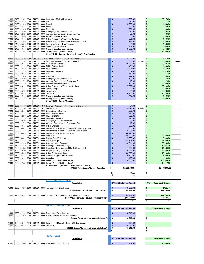| 11000 2400 |      | 52311            | 0000 | 544001                                 |           | 0000 Health and Medical Premiums                                                    | S              | 5,000.00                       |        | \$             | 30,179.00                     |        |
|------------|------|------------------|------|----------------------------------------|-----------|-------------------------------------------------------------------------------------|----------------|--------------------------------|--------|----------------|-------------------------------|--------|
|            |      |                  |      | 11000 2400 52312 0000 544001           | 0000 Life |                                                                                     | \$             | 452.00                         |        | $\sqrt[6]{3}$  | 171.00                        |        |
|            |      |                  |      |                                        |           |                                                                                     |                |                                |        |                |                               |        |
| 11000      | 2400 |                  |      | 52313 0000 544001                      |           | 0000 Dental                                                                         | \$             | 2,093.00                       |        | \$             | 1,438.00                      |        |
| 11000 2400 |      | 52314            |      | 0000 544001                            |           | 0000 Vision                                                                         | \$             | 247.00                         |        | \$             | 250.00                        |        |
| 11000      | 2400 |                  |      | 52315 0000 544001                      |           | 0000 Disability                                                                     | \$             | 226.00                         |        | \$             | 588.00                        |        |
|            |      |                  |      |                                        |           |                                                                                     |                |                                |        |                |                               |        |
|            |      | 11000 2400 52500 |      | 0000 544001                            |           | 0000 Unemployment Compensation                                                      | \$             | 2,052.00                       |        | $\mathsf{\$}$  | 426.00                        |        |
| 11000      | 2400 | 52720            |      | 0000 544001                            |           | 0000 Workers Compensation Employer's Fee                                            | \$             | 37.00                          |        | $\sqrt[6]{3}$  | 30.00                         |        |
| 11000      | 2400 | 53330            |      | 0000 544001                            |           | 0000 Professional Development                                                       | \$             | 41.00                          |        | $\mathsf{\$}$  | 1.000.00                      |        |
|            |      | 53414            |      | 0000 544001                            | 0000      | Other Professional/Technical Services                                               | \$             |                                |        | \$             |                               |        |
| 11000      | 2400 |                  |      |                                        |           |                                                                                     |                | 1,606.00                       |        |                | 1,500.00                      |        |
| 11000      | 2400 |                  |      | 54630 0000 544001                      | 0000      | Rentals of Computers and Related Equipment                                          | \$             | 1,793.00                       |        | $\mathsf{\$}$  | 1,500.00                      |        |
| 11000      | 2400 |                  |      | 55813 0000 544001                      | 0000      | Employee Travel - Non-Teachers                                                      | \$             | 300.00                         |        | \$             | 1,500.00                      |        |
|            |      |                  |      |                                        | 0000      |                                                                                     | \$             |                                |        | $\mathsf{\$}$  |                               |        |
| 11000      | 2400 | 55915            |      | 0000 544001                            |           | <b>Other Contract Services</b>                                                      |                | 3,209.00                       |        |                | 5,000.00                      |        |
| 11000 2400 |      | 56118            |      | 0000 544001                            | 0000      | General Supplies and Materials                                                      | \$             | 9,000.00                       |        | $\sqrt[6]{3}$  | 3,452.00                      |        |
|            |      |                  |      | 11000 2400 57332 0000 544001           |           | 0000 Supply Assets (\$5,000 or Less)                                                | \$             |                                |        | \$             | 15,000.00                     |        |
|            |      |                  |      |                                        |           | #11000-2400 - Support Services-School Administration                                |                |                                |        |                |                               |        |
|            |      |                  |      |                                        |           |                                                                                     |                |                                |        |                |                               |        |
|            |      |                  |      |                                        |           |                                                                                     |                |                                |        |                |                               |        |
|            |      |                  |      | 11000 2500 51100 0000 544001           |           | 1613 Salaries - Attendance Reimbursement Account                                    | \$             | 1,250.00                       |        | $\frac{1}{2}$  | 1,250.00                      |        |
| 11000      |      | 2500 51100       |      | 0000 544001                            |           | 1115 Business Manager/Director of Finance                                           | \$             | 72,500.00                      | 1.1500 | \$             | 70,000.00                     | 1.0000 |
|            |      |                  |      |                                        |           |                                                                                     |                |                                |        |                |                               |        |
|            |      | 11000 2500 52111 |      | 0000 544001                            |           | 0000 Educational Retirement                                                         | \$             | 10,259.00                      |        | \$             | 9,905.00                      |        |
| 11000      | 2500 |                  |      | 52112 0000 544001                      |           | 0000 ERA - Retiree Health                                                           | \$             | 1,451.00                       |        | $\sqrt[6]{3}$  | 1,400.00                      |        |
| 11000      | 2500 | 52210            |      | 0000 544001                            |           | 0000 FICA Payments                                                                  | \$             | 4,496.00                       |        | $\sqrt[6]{3}$  | 4,340.00                      |        |
|            |      |                  |      | 52220 0000 544001                      |           | 0000 Medicare Payments                                                              | \$             |                                |        |                |                               |        |
| 11000      | 2500 |                  |      |                                        |           |                                                                                     |                | 1,052.00                       |        | \$             | 1,015.00                      |        |
|            |      |                  |      | 11000 2500 52312 0000 544001 0000 Life |           |                                                                                     | \$             | 113.00                         |        | $\sqrt[6]{3}$  | 57.00                         |        |
| 11000      | 2500 |                  |      |                                        |           | 52315 0000 544001 0000 Disability                                                   | \$             | 224.00                         |        | $\sqrt[6]{3}$  | 244.00                        |        |
| 11000      | 2500 | 52500            |      |                                        |           | 0000 544001 0000 Unemployment Compensation                                          | \$             | 600.00                         |        | $\sqrt[6]{3}$  | 142.00                        |        |
|            |      |                  |      |                                        |           |                                                                                     |                |                                |        |                |                               |        |
| 11000      | 2500 |                  |      | 52720 0000 544001                      |           | 0000 Workers Compensation Employer's Fee                                            | \$             | 19.00                          |        | \$             | 20.00                         |        |
|            |      |                  |      | 11000 2500 53330 0000 544001           |           | 0000 Professional Development                                                       | \$             | 1,600.00                       |        | $\mathfrak{s}$ | 2,000.00                      |        |
| 11000      | 2500 |                  |      | 53414 0000 544001                      |           | 0000 Other Professional/Technical Services                                          | \$             | 7,800.00                       |        | \$             | 88,000.00                     |        |
|            |      |                  |      |                                        |           |                                                                                     | \$             |                                |        |                |                               |        |
| 11000      | 2500 | 53711            |      | 0000 544001                            |           | 0000 Other Charges                                                                  |                | 2,000.00                       |        | $\sqrt[6]{3}$  | 2,000.00                      |        |
| 11000      | 2500 | 55400            |      | 0000 544001                            |           | 0000 Advertising                                                                    | \$             | 1,800.00                       |        | $\mathsf{\$}$  | 2,000.00                      |        |
| 11000 2500 |      |                  |      | 56113 0000 544001                      |           | 0000 Software                                                                       | \$             | 16,900.00                      |        | $\mathsf{\$}$  | 16.100.00                     |        |
|            |      |                  |      | 56118 0000 544001                      | 0000      |                                                                                     | \$             |                                |        | $\mathfrak{s}$ |                               |        |
| 11000 2500 |      |                  |      |                                        |           | General Supplies and Materials                                                      |                | 440.00                         |        |                | 1,500.00                      |        |
|            |      |                  |      | 11000 2500 57332 0000 544001           | 0000      | Supply Assets (\$5,000 or Less)                                                     | \$             |                                |        | $\frac{3}{2}$  | 1,000.00                      |        |
|            |      |                  |      |                                        |           | #11000-2500 - Central Services                                                      |                |                                |        |                |                               |        |
|            |      |                  |      |                                        |           |                                                                                     |                |                                |        |                |                               |        |
|            |      |                  |      |                                        |           |                                                                                     |                |                                |        |                |                               |        |
|            |      | 11000 2600 51100 |      | 0000 544001                            |           | 1613 Salaries - Attendance Reimbursement Account                                    | \$             | 81.00                          |        | $\mathsf{\$}$  |                               |        |
| 11000      | 2600 | 51100            | 0000 | 544001                                 |           | 1614 Maintenance                                                                    | \$             | 9,670.00                       | 0.2000 | \$             |                               |        |
| 11000      |      | 2600 52111       |      | 0000 544001                            |           | 0000 Educational Retirement                                                         | \$             | 1,369.00                       |        | \$             |                               |        |
|            |      |                  |      |                                        |           |                                                                                     |                |                                |        |                |                               |        |
| 11000      |      |                  |      | 2600 52112 0000 544001                 |           | 0000 ERA - Retiree Health                                                           | \$             | 194.00                         |        | $\sqrt[6]{3}$  |                               |        |
| 11000      |      |                  |      | 2600 52210 0000 544001                 |           | 0000 FICA Payments                                                                  | \$             | 600.00                         |        | \$             |                               |        |
| 11000      |      | 2600 52220       |      | 0000 544001                            |           | 0000 Medicare Payments                                                              | \$             | 141.00                         |        | \$             |                               |        |
|            |      |                  |      |                                        |           |                                                                                     |                |                                |        |                |                               |        |
| 11000      |      | 2600 52500       |      | 0000 544001                            |           | 0000 Unemployment Compensation                                                      | \$             | 97.00                          |        | \$             |                               |        |
| 11000      | 2600 | 52720            |      | 0000 544001                            |           | 0000 Workers Compensation Employer's Fee                                            | \$             | 10.00                          |        | \$             |                               |        |
| 11000 2600 |      | 53711            |      | 0000 544001                            |           | 0000 Other Charges                                                                  | \$             | 850.00                         |        |                |                               |        |
|            |      |                  |      |                                        |           |                                                                                     |                |                                |        |                |                               |        |
| 11000      | 2600 |                  |      | 54311 0000 544001                      |           | 0000 Maintenance & Repair Furniture/Fixtures/Equipment                              | \$             | 500.00                         |        |                |                               |        |
| 11000      | 2600 |                  |      | 54312 0000 544001                      | 0000      | Maintenance & Repair - Buildings And Grounds                                        | \$             | 8,000.00                       |        |                |                               |        |
| 11000      | 2600 |                  |      | 54313 0000 544001                      |           | 0000 Maintenance & Repair - Vehicles                                                | \$             | 46,226.00                      |        |                |                               |        |
|            |      |                  |      |                                        |           |                                                                                     |                |                                |        |                |                               |        |
|            |      |                  |      |                                        |           |                                                                                     |                |                                |        |                |                               |        |
|            |      |                  |      |                                        |           | 11000 2600 54411 0000 544001 0000 Electricity                                       | \$             | 55,000.00                      |        | \$             | 58,000.00                     |        |
| 11000      | 2600 |                  |      | 54412 0000 544001                      |           | 0000 Natural Gas (Buildings)                                                        | \$             | 5,000.00                       |        | $\frac{1}{2}$  | 5,000.00                      |        |
|            |      |                  |      |                                        |           |                                                                                     |                |                                |        |                |                               |        |
| 11000      | 2600 |                  |      | 54415 0000 544001                      |           | 0000 Water/Sewage                                                                   | \$             | 44,625.00                      |        | $\sqrt[6]{3}$  | 28,000.00                     |        |
| 11000      | 2600 |                  |      | 54416 0000 544001                      |           | 0000 Communication Services                                                         | \$             | 49,344.00                      |        | \$             | 50,000.00                     |        |
| 11000      |      |                  |      | 2600 54610 0000 544001                 |           | 0000 Renting Land and Buildings                                                     | \$             | 77,000.00                      |        | $\mathfrak{s}$ | 81,934.00                     |        |
| 11000      | 2600 | 54630            |      | 0000 544001                            | 0000      | Rentals of Computers and Related Equipment                                          | \$             | 11,500.00                      |        | \$             | 11,500.00                     |        |
| 11000      | 2600 | 55200            |      | 0000 544001                            | 0000      | Property/Liability Insurance                                                        | \$             |                                |        | $\mathsf{\$}$  | 80,000.00                     |        |
|            |      |                  |      |                                        |           |                                                                                     |                | 74,000.00                      |        |                |                               |        |
| 11000      | 2600 |                  |      | 55915 0000 544001                      | 0000      | <b>Other Contract Services</b>                                                      | \$             | 36,800.00                      |        | \$             | 40,000.00                     |        |
| 11000      |      |                  |      | 2600 56118 0000 544001                 |           | 0000 General Supplies and Materials                                                 | \$             | 5,500.00                       |        | \$             | 5.000.00                      |        |
| 11000      | 2600 | 56211            |      | 0000 544001                            | 0000      | Gasoline                                                                            | \$             | 100.00                         |        | \$             | 100.00                        |        |
|            |      |                  |      |                                        |           |                                                                                     |                |                                |        |                |                               |        |
| 11000      | 2600 | 57331            |      | 0000 544001                            | 0000      | Fixed Assets (More Than \$5,000)                                                    | \$             | 75,000,00                      |        | \$             | 100.000.00                    |        |
|            |      |                  |      | 11000 2600 57332 0000 544001           | 0000      | Supply Assets (\$5,000 or Less)                                                     | \$             | ÷                              |        | \$             | 46,917.00                     |        |
|            |      |                  |      |                                        |           | #11000-2600 - Operation & Maintenance of Plant                                      |                |                                |        |                |                               |        |
|            |      |                  |      |                                        |           |                                                                                     |                |                                |        |                |                               |        |
|            |      |                  |      |                                        |           | #11000 Total Expenditures - Operational                                             |                | \$2,635,330.35                 |        |                | \$3,095,038.00                |        |
|            |      |                  |      |                                        |           |                                                                                     |                |                                |        |                |                               |        |
|            |      |                  |      |                                        |           |                                                                                     | s              | 500,000                        |        | S              | (0)                           |        |
|            |      |                  |      |                                        |           |                                                                                     | \$             | (0)                            |        |                |                               |        |
|            |      |                  |      |                                        |           |                                                                                     |                |                                |        |                |                               |        |
|            |      |                  |      |                                        |           |                                                                                     |                |                                |        |                |                               |        |
|            |      |                  |      |                                        |           | <b>Student Transportation - 13000</b>                                               |                |                                |        |                |                               |        |
|            |      |                  |      |                                        |           | <b>Description</b>                                                                  |                | <b>FY2020 Estimated Actual</b> |        |                | <b>FY2021 Proposed Budget</b> |        |
|            |      |                  |      |                                        |           |                                                                                     |                |                                |        |                |                               |        |
|            |      |                  |      |                                        |           |                                                                                     | $\mathfrak{s}$ |                                |        |                |                               |        |
|            |      |                  |      |                                        |           | 13000 0000 43206 0000 544001 0000 Transportation Distribution                       |                | 149,238.00                     |        |                | 147,358.00                    |        |
|            |      |                  |      |                                        |           | #13000 Revenue - Student Transportation                                             | \$             | 149,238.00                     |        |                | 147.358.00                    |        |
|            |      |                  |      |                                        |           |                                                                                     |                |                                |        |                |                               |        |
|            |      |                  |      |                                        |           | 13000 2700 55112 0000 544001 0000 Student Transportation-Transportation Contractors | \$             | 149,238.00                     |        | S              | 147,358.00                    |        |
|            |      |                  |      |                                        |           |                                                                                     |                | \$149,238.00                   |        |                | \$147,358.00                  |        |
|            |      |                  |      |                                        |           | #13000 Expenditures - Student Transportation                                        |                |                                |        |                |                               |        |
|            |      |                  |      |                                        |           |                                                                                     | $\overline{s}$ |                                |        |                |                               |        |
|            |      |                  |      |                                        |           |                                                                                     |                |                                |        |                |                               |        |
|            |      |                  |      |                                        |           | Instructional Materials - 14000                                                     |                |                                |        |                |                               |        |
|            |      |                  |      |                                        |           |                                                                                     |                |                                |        |                |                               |        |
|            |      |                  |      |                                        |           | <b>Description</b>                                                                  |                | <b>FY2020 Estimated Actual</b> |        |                | FY2021 Proposed Budget        |        |
|            |      |                  |      |                                        |           |                                                                                     |                |                                |        |                |                               |        |
|            |      |                  |      | 14000 0000 32200 0000 544001           |           | 0000 Designated Fund Balance                                                        | \$             | 15,210.00                      |        |                |                               |        |
|            |      |                  |      | 14000 0000 41980 0000 544001           |           | 0000 Refund of Prior Year's Expenditures                                            | \$             |                                |        |                |                               |        |
|            |      |                  |      |                                        |           | #14000 Revenue - Instructional Materials                                            | \$             | 15,210.00                      |        |                |                               |        |
|            |      |                  |      |                                        |           |                                                                                     |                |                                |        |                |                               |        |
|            |      |                  |      |                                        |           |                                                                                     |                |                                |        |                |                               |        |
| 14000      | 1000 | 56111            | 1010 | 544001                                 |           | 0000 Instructional Materials Cash - 50% Textbooks                                   | \$             | 778.00                         |        |                |                               |        |
|            |      |                  |      | 14000 1000 56113 1010 544001           |           | 0000 Software                                                                       | \$             | 14,432.00                      |        |                |                               |        |
|            |      |                  |      |                                        |           |                                                                                     |                |                                |        |                | $\overline{a}$                |        |
|            |      |                  |      |                                        |           | #14000 Expenditures - Instructional Materials                                       | \$             | 15,210.00                      |        | \$             |                               |        |
|            |      |                  |      |                                        |           |                                                                                     | s              |                                |        |                |                               |        |
|            |      |                  |      |                                        |           |                                                                                     |                |                                |        |                |                               |        |
|            |      |                  |      |                                        |           | Activities - 23000                                                                  |                |                                |        |                |                               |        |
|            |      |                  |      |                                        |           |                                                                                     |                |                                |        |                |                               |        |
|            |      |                  |      |                                        |           | Description                                                                         |                | <b>FY2020 Estimated Actual</b> |        |                | FY2021 Proposed Budget        |        |
|            |      |                  |      |                                        |           | 23000 0000 32300 0000 544001 0000 Unreserved Fund Balance                           |                | 21,762.00                      |        | $\mathbf{s}$   | 16,448.00                     |        |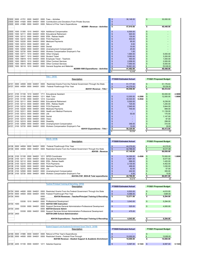| 23000 | 0000       | 41701      | 0000 | 544001                 | 0000      | Fees - Activities                                     | 36,148.00 | 30,000.00 |
|-------|------------|------------|------|------------------------|-----------|-------------------------------------------------------|-----------|-----------|
| 23000 | 0000       | 41920      | 0000 | 544001                 |           | 0000 Contributions and Donations From Private Sources |           |           |
| 23000 |            |            |      | 0000 41980 0000 544001 |           | 0000 Refund of Prior Year's Expenditures              |           |           |
|       |            |            |      |                        |           | #23000 - Revenue - Activities                         | 57,910.00 | 46,448.00 |
|       |            |            |      |                        |           |                                                       |           |           |
| 23000 | 1000 51300 |            |      | 1010 544001            |           | 1624 Additional Compensation                          | 6,500.00  |           |
| 23000 | 1000       | 52111      | 0000 | 544001                 | 0000      | <b>Educational Retirement</b>                         | 920.00    |           |
| 23000 | 1000       | 52112 0000 |      | 544001                 | 0000      | ERA - Retiree Health                                  | 130.00    |           |
| 23000 | 1000       | 52210 0000 |      | 544001                 |           | 0000 FICA Payments                                    | 403.00    |           |
| 23000 | 1000       | 52220      | 0000 | 544001                 | 0000      | Medicare Payments                                     | 95.00     |           |
| 23000 | 1000       | 52312 0000 |      | 544001                 | 0000 Life |                                                       | 9.00      |           |
| 23000 | 1000       | 52313 0000 |      | 544001                 |           | 0000 Dental                                           | 10.00     |           |
| 23000 | 1000       | 52500      | 0000 | 544001                 |           | 0000 Unemployment Compensation                        | 25.00     |           |
| 23000 | 1000       | 52720      | 0000 | 544001                 | 0000      | Workers Compensation Employer's Fee                   | 1.00      |           |
| 23000 | 1000       | 53711      | 1010 | 544001                 | 0000      | Other Charges                                         | 1,994.00  | 5,000.00  |
| 23000 | 1000       | 55817      | 1010 | 544001                 | 0000      | <b>Student Travel</b>                                 | 3.083.00  | 3.200.00  |
| 23000 | 1000       | 55819      | 1010 | 544001                 | 0000      | Employee Travel - Teachers                            | 493.00    | 1,000.00  |
| 23000 | 1000       | 55915      | 1010 | 544001                 |           | 0000 Other Contract Services                          | 2,958.00  | 2,000.00  |
| 23000 | 1000       | 55915 9000 |      | 544001                 | 0000      | <b>Other Contract Services</b>                        | 7.950.00  | 6,000.00  |
| 23000 | 1000 56118 |            |      | 1010 544001            | 0000      | General Supplies and Materials                        | 16,891.00 | 29,248.00 |
|       |            |            |      |                        |           | #23000-1000 Expenditures - Activities                 | 41,462.00 | 46,448.00 |
|       |            |            |      |                        |           |                                                       | 16,448    |           |

the control of the

|       |      |            |      |        |           | Title \ - 24101                                                 |                                |        |                               |        |
|-------|------|------------|------|--------|-----------|-----------------------------------------------------------------|--------------------------------|--------|-------------------------------|--------|
|       |      |            |      |        |           | <b>Description</b>                                              | <b>FY2020 Estimated Actual</b> |        | <b>FY2021 Proposed Budget</b> |        |
|       |      |            |      |        |           |                                                                 |                                |        |                               |        |
| 24101 | 0000 | 44500      | 0000 | 544001 | 0000      | Restricted Grants From the Federal Government Through the State | 51,177.00<br>\$                |        | 51,176.63                     |        |
| 24101 | 0000 | 44504      | 0000 | 544001 | 0000      | Federal Flowthrough Prior Year                                  | 44,379.00                      |        | 39,236.00                     |        |
|       |      |            |      |        |           | #24101 Revenue - Title I                                        | £.<br>95,556.00                |        | 90,412.63                     |        |
|       |      |            |      |        |           |                                                                 |                                |        |                               |        |
| 24101 | 2100 | 51100      | 1010 | 544001 | 1711      | <b>Educational Assistant</b>                                    |                                |        | 50,000.00                     | 2.5000 |
| 24101 | 2100 | 51100      | 0000 | 544001 | 1211      | Math Tutor                                                      | 12,000.00                      | 0.2500 | 12,000.00                     | 1.0000 |
| 24101 | 2100 | 51100      | 0000 | 544001 |           | 1214 Counselor                                                  | 34,544.00                      | 0.4542 |                               |        |
| 24101 | 2100 | 52111      | 0000 | 544001 |           | 0000 Educational Retirement                                     | 5,000.00                       |        | 9,238.00                      |        |
| 24101 | 2100 | 52112      | 0000 | 544001 |           | 0000 ERA - Retiree Health                                       | 725.00                         |        | 1,240.00                      |        |
| 24101 | 2100 | 52210      | 0000 | 544001 |           | 0000 FICA Payments                                              | 2.945.00                       |        | 3,844.00                      |        |
| 24101 |      | 2100 52220 | 0000 | 544001 | 0000      | <b>Medicare Payments</b>                                        | 700.00                         |        | 899.00                        |        |
| 24101 | 2100 | 52311      | 0000 | 544001 |           | 0000 Health and Medical Premiums                                |                                |        | 11,139.00                     |        |
| 24101 | 2100 | 52312      | 0000 | 544001 | 0000 Life |                                                                 | 50.00                          |        | 170.00                        |        |
| 24101 | 2100 | 52313      | 0000 | 544001 | 0000      | Dental                                                          |                                |        | 1,147.00                      |        |
| 24101 | 2100 | 52314      | 0000 | 544001 | 0000      | Vision                                                          |                                |        | 97.00                         |        |
| 24101 |      | 2100 52315 | 0000 | 544001 |           | 0000 Disability                                                 |                                |        | 299.00                        |        |
| 24101 |      | 2100 52500 | 0000 | 544001 | 0000      | Unemployment Compensation                                       | 346.00                         |        | 310.00                        |        |
| 24101 | 2100 | 52720      | 0000 | 544001 | 0000      | Workers Compensation Employer's Fee                             | 10.00                          |        | 30.00                         |        |
|       |      |            |      |        |           | #24101 Expenditures - Title I                                   | \$<br>56,320.00                |        | 90,413.00                     |        |
|       |      |            |      |        |           |                                                                 | 39,236                         |        | (U)                           |        |

|            |       |                              |           | <b>IDEA B-24106</b>                                                                               |  |                                |        |     |                               |        |
|------------|-------|------------------------------|-----------|---------------------------------------------------------------------------------------------------|--|--------------------------------|--------|-----|-------------------------------|--------|
|            |       |                              |           | <b>Description</b>                                                                                |  | <b>FY2020 Estimated Actual</b> |        |     | <b>FY2021 Proposed Budget</b> |        |
|            |       |                              |           |                                                                                                   |  |                                |        |     |                               |        |
| 24106 0000 | 44504 | 0000 544001                  | 0000      | Federal Flowthrough Prior Year                                                                    |  | 44,379.00                      |        |     | 44,379.00                     |        |
|            |       |                              |           | 24106 0000 44500 0000 544001 0000 Restricted Grants From the Federal Government Through the State |  | 42,766.00                      |        |     | 42,471.68                     |        |
|            |       |                              |           | #24106 - Revenue                                                                                  |  | 87.145.00                      |        |     | 86,850.68                     |        |
|            |       |                              |           |                                                                                                   |  |                                |        |     |                               |        |
|            |       | 24106 2100 51100 2000 544001 | 1211      | <b>SPED Coordinator</b>                                                                           |  | 34,300,00                      | 0.4506 | \$. | 70,500.00                     | 1.0000 |
|            |       | 24106 2100 52111 0000 544001 | 0000      | <b>Educational Retirement</b>                                                                     |  | 4.861.00                       |        |     | 9.077.00                      |        |
|            |       | 24106 2100 52112 0000 544001 | 0000      | ERA - Retiree Health                                                                              |  | 688.00                         |        |     | 1.420.00                      |        |
|            |       | 24106 2100 52210 0000 544001 |           | 0000 FICA Payments                                                                                |  | 2.130.00                       |        |     | 4,402.00                      |        |
|            |       | 24106 2100 52220 0000 544001 |           | 0000 Medicare Payments                                                                            |  | 499.00                         |        |     | 1.030.00                      |        |
|            |       | 24106 2100 52312 0000 544001 | 0000 Life |                                                                                                   |  | 42.00                          |        |     | 57.00                         |        |
|            |       | 24106 2100 52500 0000 544001 |           | 0000 Unemployment Compensation                                                                    |  | 242.00                         |        |     | 355.00                        |        |
|            |       |                              |           | 24106 2100 52720 0000 544001 0000 Workers Compensation Employer's Fee                             |  | 4.00                           |        |     | 10.00                         |        |
|            |       |                              |           | #24106-2100 IDEA-B Total expenditures                                                             |  | 42,766.00                      |        |     | 86,851.00                     |        |
|            |       |                              |           |                                                                                                   |  | 44.379                         |        |     | (0)                           |        |

|                  |      |       |      |                   |      | Teacher/Principal Training & Recruiting - 24154<br><b>Description</b>                | <b>FY2020 Estimated Actual</b> |        | <b>FY2021 Proposed Budget</b> |        |
|------------------|------|-------|------|-------------------|------|--------------------------------------------------------------------------------------|--------------------------------|--------|-------------------------------|--------|
| 24154 0000       |      | 44500 |      | 0000 544001       |      | 0000 Restricted Grants From the Federal Government Through the State                 | 6,503.00<br>S.                 |        | 4,610.00                      |        |
| 24154 0000 44504 |      |       |      | 0000 544001       |      | 0000 Federal Flowthrough Prior Year                                                  | 6,068.00                       |        | 4,684.00                      |        |
| 24154 0000       |      |       |      |                   | 0000 | #24154 Revenues - Teacher/Principal Training & Recruiting                            | 12,571.00                      |        | 9,294.00                      |        |
|                  |      |       |      |                   | 0000 |                                                                                      |                                |        |                               |        |
|                  |      | 53330 |      | 1010 544001       |      | 0000 Professional Development                                                        | \$<br>3,543.00                 |        | 5,294.00<br>\$                |        |
| 24154 1000       |      |       |      |                   |      | 0000 #24154-1000 Instruction                                                         |                                |        |                               |        |
|                  |      |       |      | 53330 0000 544001 |      | 0000 Support Services-General Administration-Professional Development                | 525.00<br>\$                   |        | 4,000.00<br>\$                |        |
| 24154 2300       |      |       |      |                   |      | 0000 #24154-General Admin                                                            |                                |        |                               |        |
|                  |      |       |      | 53330 0000 544001 |      | 0000 Support Services-School Administration-Professional Development                 | 475.00<br>\$                   |        |                               |        |
| 24154 2400       |      |       |      |                   |      | #24154-2400 School Administration                                                    |                                |        |                               |        |
|                  |      |       |      |                   |      | #24154 Expenditures - Teacher/Principal Training & Recruiting                        | \$<br>4,543.00                 |        | 9,294.00                      |        |
|                  |      |       |      |                   |      |                                                                                      |                                |        |                               |        |
|                  |      |       |      |                   |      | Student Support and Academic Enrichment Grant Title IV - 24189<br><b>Description</b> | <b>FY2020 Estimated Actual</b> |        | <b>FY2021 Proposed Budget</b> |        |
| 24189            | 0000 | 41980 | 0000 | 544001            | 0000 | Refund of Prior Year's Expenditures                                                  |                                |        |                               |        |
| 24189 0000       |      | 44500 |      | 0000 544001       |      | 0000 Restricted Grants - Federal Flow-Through                                        | 10,000,00                      |        | 10,000.00                     |        |
|                  |      |       |      |                   |      | #24189 Revenue - Student Support & Academic Enrichment                               | \$<br>10,000.00                |        | 10,000.00                     |        |
| 24189 2200 51100 |      |       |      | 0000 544001       | 1211 | Salaries Expense                                                                     | S.<br>6,597.00                 | 0.1343 | 6,597.00<br>- \$              | 0.1343 |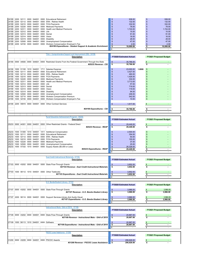| 24189      |      | 2200 52111 0000  |      | 544001                       |      | 0000 Educational Retirement                                                                       | 938.00<br>S                       |        | 938.00<br>\$                  |  |
|------------|------|------------------|------|------------------------------|------|---------------------------------------------------------------------------------------------------|-----------------------------------|--------|-------------------------------|--|
| 24189      | 2200 | 52112 0000       |      | 544001                       |      | 0000 ERA - Retiree Health                                                                         | \$<br>132.00                      |        | \$<br>132.00                  |  |
| 24189      | 2200 | 52210            | 0000 | 544001                       |      | 0000 FICA Payments                                                                                | \$<br>332.00                      |        | 332.00<br>\$                  |  |
| 24189 2200 |      |                  |      | 52220 0000 544001            |      | 0000 Medicare Payments                                                                            | 78.00<br>\$                       |        | $\mathfrak{s}$<br>78.00       |  |
| 24189      | 2200 | 52311 0000       |      | 544001                       |      | 0000 Health and Medical Premiums                                                                  | 1.724.00<br>\$                    |        | $\mathsf{\$}$<br>1,724.00     |  |
| 24189      | 2200 | 52312            | 0000 | 544001                       | 0000 | Life                                                                                              | 15.00<br>\$                       |        | 15.00<br>\$                   |  |
| 24189      | 2200 | 52313            | 0000 | 544001                       |      | 0000 Dental                                                                                       | \$<br>91.00                       |        | \$<br>91.00                   |  |
| 24189      | 2200 |                  |      | 52314 0000 544001            |      | 0000 Vision                                                                                       | \$<br>16.00                       |        | \$<br>16.00                   |  |
| 24189      | 2200 | 52315            | 0000 | 544001                       |      | 0000 Disability                                                                                   | \$<br>28.00                       |        | \$<br>28.00                   |  |
| 24189      | 2200 | 52500            | 0000 | 544001                       | 0000 | Unemployment Compensation                                                                         | \$<br>47.00                       |        | $\mathsf{\$}$<br>47.00        |  |
| 24189      |      | 2200 52720       | 0000 | 544001                       |      | 0000 Workers Compensation Employer's Fee                                                          | $\mathfrak{s}$<br>2.00            |        | $\mathbf{\$}$<br>2.00         |  |
|            |      |                  |      |                              |      | #24189 Expenditures - Student Support & Academic Enrichment                                       | ∣\$<br>10,000.00                  |        | \$<br>10,000.00               |  |
|            |      |                  |      |                              |      |                                                                                                   | l s<br>$\overline{\phantom{a}}$   |        | s<br>$\overline{\phantom{a}}$ |  |
|            |      |                  |      |                              |      |                                                                                                   |                                   |        |                               |  |
|            |      |                  |      |                              |      | Title I - Comprehensive Support and Improvement (CSI) - 24190                                     |                                   |        |                               |  |
|            |      |                  |      |                              |      | Description                                                                                       | <b>FY2020 Estimated Actual</b>    |        | <b>FY2021 Proposed Budget</b> |  |
|            |      |                  |      |                              |      |                                                                                                   |                                   |        |                               |  |
|            |      |                  |      |                              |      | 24190 0000 44500 0000 544001 0000 Restricted Grants From the Federal Government Through the State | \$<br>35.766.00                   |        |                               |  |
|            |      |                  |      |                              |      | #25233 Revenue - CSI                                                                              | \$<br>35,766.00                   |        | \$                            |  |
|            |      |                  |      |                              |      |                                                                                                   |                                   |        |                               |  |
| 24190      |      | 1000 51100       |      | 1010 544001                  |      | 1711 Salaries Expense                                                                             | \$<br>23,000.00                   | 1.0000 | \$                            |  |
| 24190      | 1000 | 52111            | 0000 | 544001                       |      | 0000 Educational Retirement                                                                       | \$<br>3,427.00                    |        | \$                            |  |
| 24190      | 1000 | 52112            | 0000 | 544001                       | 0000 | <b>ERA - Retiree Health</b>                                                                       | \$<br>460.00                      |        | \$                            |  |
| 24190      | 1000 |                  |      | 52210 0000 544001            |      | 0000 FICA Payments                                                                                | 1,426.00<br>\$                    |        | S                             |  |
| 24190      | 1000 | 52220            | 0000 | 544001                       | 0000 | <b>Medicare Payments</b>                                                                          | 334.00<br>\$                      |        | \$                            |  |
| 24190      | 1000 | 52311            | 0000 | 544001                       | 0000 | <b>Health and Medical Premiums</b>                                                                | \$<br>3,713.00                    |        | S                             |  |
| 24190      | 1000 | 52312            | 0000 | 544001                       | 0000 | Life                                                                                              | \$<br>57.00                       |        | S                             |  |
| 24190      | 1000 | 52313            |      | 0000 544001                  |      | 0000 Dental                                                                                       | \$<br>719.00                      |        | £                             |  |
| 24190      | 1000 | 52314            |      | 0000 544001                  |      | 0000 Vision                                                                                       | \$<br>119.00                      |        | S                             |  |
|            | 1000 | 52315            | 0000 | 544001                       | 0000 |                                                                                                   |                                   |        | S                             |  |
| 24190      |      |                  |      |                              |      | Disability                                                                                        | \$<br>94.00                       |        |                               |  |
| 24190      | 1000 | 52500            | 0000 | 544001                       | 0000 | Unemployment Compensation                                                                         | \$<br>248.00                      |        | S                             |  |
| 24190      | 1000 | 52710            | 0000 | 544001                       | 0000 | <b>Workers Compensation Premium</b>                                                               | \$<br>542.00                      |        | S                             |  |
| 24190      | 1000 | 52720            | 0000 | 544001                       | 0000 | Workers Compensation Employer's Fee                                                               | \$<br>10.00                       |        | $\mathsf{\$}$                 |  |
|            |      |                  |      | 24190 2200 55915 0000 544001 |      | 0000 Other Contract Services                                                                      | \$<br>1,617.00                    |        | S<br>$\overline{\phantom{a}}$ |  |
|            |      |                  |      |                              |      |                                                                                                   |                                   |        |                               |  |
|            |      |                  |      |                              |      | #24190 Expenditures - CSI                                                                         | \$<br>35,766.00                   |        | \$<br>$\blacksquare$          |  |
|            |      |                  |      |                              |      |                                                                                                   | s                                 |        | ŝ                             |  |
|            |      |                  |      |                              |      |                                                                                                   |                                   |        |                               |  |
|            |      |                  |      |                              |      | <b>Rural Education Achievement Program - 25233</b>                                                |                                   |        |                               |  |
|            |      |                  |      |                              |      | <b>Description</b>                                                                                | <b>FY2020 Estimated Actual</b>    |        | <b>FY2021 Proposed Budget</b> |  |
|            |      |                  |      |                              |      |                                                                                                   |                                   |        |                               |  |
|            |      | 25233 0000 44301 |      | 0000 544001                  |      | 0000 Other Restricted Grants - Federal Direct                                                     | \$<br>29,449.00                   |        |                               |  |
|            |      |                  |      |                              |      | #25233 Revenue - REAP                                                                             | 29,449.00<br>\$                   |        | \$                            |  |
|            |      |                  |      |                              |      |                                                                                                   |                                   |        |                               |  |
| 25233      | 1000 | 51300            |      | 1010 544001                  |      | 1411 Additional Compensation                                                                      | \$<br>2,500.00                    |        | £                             |  |
|            |      |                  |      |                              |      |                                                                                                   |                                   |        |                               |  |
|            |      |                  |      |                              |      |                                                                                                   |                                   |        |                               |  |
| 25233      | 1000 | 52111            | 0000 | 544001                       | 0000 | <b>Educational Retirement</b>                                                                     | \$<br>354.00                      |        | \$                            |  |
| 25233      | 1000 |                  |      | 52112 0000 544001            |      | 0000 ERA - Retiree Health                                                                         | \$<br>50.00                       |        | \$                            |  |
| 25233      | 1000 | 52210            | 0000 | 544001                       |      | 0000 FICA Payments                                                                                | 155.00<br>\$                      |        | S                             |  |
| 25233      | 1000 | 52220            | 0000 | 544001                       | 0000 | <b>Medicare Payments</b>                                                                          | \$<br>37.00                       |        | \$                            |  |
| 25233      | 1000 | 52500            | 0000 | 544001                       | 0000 | Unemployment Compensation                                                                         | \$<br>25.00                       |        | \$                            |  |
| 25233      |      | 1000 57332       |      | 1010 544001                  |      | 0000 Supply Assets (\$5,000 or Less)                                                              | \$<br>26,328.00                   |        | S<br>$\blacksquare$           |  |
|            |      |                  |      |                              |      | #25233 Expenditures - REAP                                                                        | -\$<br>29,449.00<br>I             |        | \$<br>S                       |  |
|            |      |                  |      |                              |      |                                                                                                   |                                   |        |                               |  |
|            |      |                  |      |                              |      | <b>Dual Credit Instructional Materials - 27103</b>                                                |                                   |        |                               |  |
|            |      |                  |      |                              |      | <b>Description</b>                                                                                | <b>FY2020 Estimated Actual</b>    |        | <b>FY2021 Proposed Budget</b> |  |
|            |      |                  |      |                              |      |                                                                                                   |                                   |        |                               |  |
|            |      |                  |      |                              |      | 27103 0000 43202 0000 544001 0000 State Flow-Through Grants                                       | 3,852.00<br>\$                    |        |                               |  |
|            |      |                  |      |                              |      | #27103 Revenue - Dual Credit Instructional Materials                                              | S.<br>3,852.00                    |        |                               |  |
|            |      |                  |      |                              |      |                                                                                                   |                                   |        |                               |  |
|            |      |                  |      |                              |      | 27103 1000 56112 1010 544001 0000 Other Textbooks                                                 | \$<br>3,852.00                    |        |                               |  |
|            |      |                  |      |                              |      | #27103 Expenditures - Dual Credit Instructional Materials                                         | \$<br>3,852.00                    |        | \$                            |  |
|            |      |                  |      |                              |      |                                                                                                   | $\overline{\mathbf{s}}$<br>$\sim$ |        | S                             |  |
|            |      |                  |      |                              |      |                                                                                                   |                                   |        |                               |  |
|            |      |                  |      |                              |      | G.O. Bonds-Student Library - 27107                                                                |                                   |        |                               |  |
|            |      |                  |      |                              |      | <b>Description</b>                                                                                | <b>FY2020 Estimated Actual</b>    |        | <b>FY2021 Proposed Budget</b> |  |
|            |      |                  |      |                              |      | 27107 0000 43202 0000 544001 0000 State Flow-Through Grants                                       | $\sqrt[6]{3}$<br>3,966.00         |        | 3,966.00                      |  |
|            |      |                  |      |                              |      | #27107 Revenue - G.O. Bonds-Student Library                                                       | 3,966.00<br>-\$                   |        | 3,966.00                      |  |
|            |      |                  |      |                              |      |                                                                                                   |                                   |        |                               |  |
|            |      |                  |      |                              |      | 27107 2200 56114 0000 544001 0000 Support Services-Library And Audio-Visual                       | $\sqrt[6]{3}$<br>3,966.00         |        | 3,966.00                      |  |
|            |      |                  |      |                              |      | #27107 Expenditures - G.O. Bonds-Student Library                                                  | \$<br>3,966.00                    |        | 3,966.00<br>\$                |  |
|            |      |                  |      |                              |      |                                                                                                   | l s                               |        | ŝ                             |  |
|            |      |                  |      |                              |      |                                                                                                   |                                   |        |                               |  |
|            |      |                  |      |                              |      | Instructional Mats - GAA of 2019 - 27109                                                          |                                   |        |                               |  |
|            |      |                  |      |                              |      | Description                                                                                       | <b>FY2020 Estimated Actual</b>    |        | FY2021 Proposed Budget        |  |
|            |      |                  |      |                              |      |                                                                                                   |                                   |        |                               |  |
|            |      |                  |      |                              |      | 27109 0000 43202 0000 544001 0000 State Flow-Through Grants                                       | \$<br>20,867.00                   |        |                               |  |
|            |      |                  |      |                              |      | #27109 Revenue - Instructional Mats - GAA of 2019                                                 | 20,867.00<br>\$                   |        |                               |  |
|            |      |                  |      |                              |      |                                                                                                   |                                   |        |                               |  |
|            |      |                  |      |                              |      | 27109 1000 56113 1010 544001 0000 Software                                                        | \$<br>20,867.00                   |        |                               |  |
|            |      |                  |      |                              |      | #27109 Expenditures - Instructional Mats - GAA of 2019                                            | ∣\$<br>20,867.00                  |        |                               |  |
|            |      |                  |      |                              |      |                                                                                                   | I                                 |        |                               |  |
|            |      |                  |      |                              |      |                                                                                                   |                                   |        |                               |  |
|            |      |                  |      |                              |      | <b>PSCOC Lease Assistance - 31200</b>                                                             | <b>FY2020 Estimated Actual</b>    |        |                               |  |
|            |      |                  |      |                              |      | Description                                                                                       |                                   |        | FY2021 Proposed Budget        |  |
|            |      |                  |      |                              |      | 31200 0000 43209 0000 544001 0000 PSCOC Awards                                                    | 206,626.00<br>\$                  |        |                               |  |